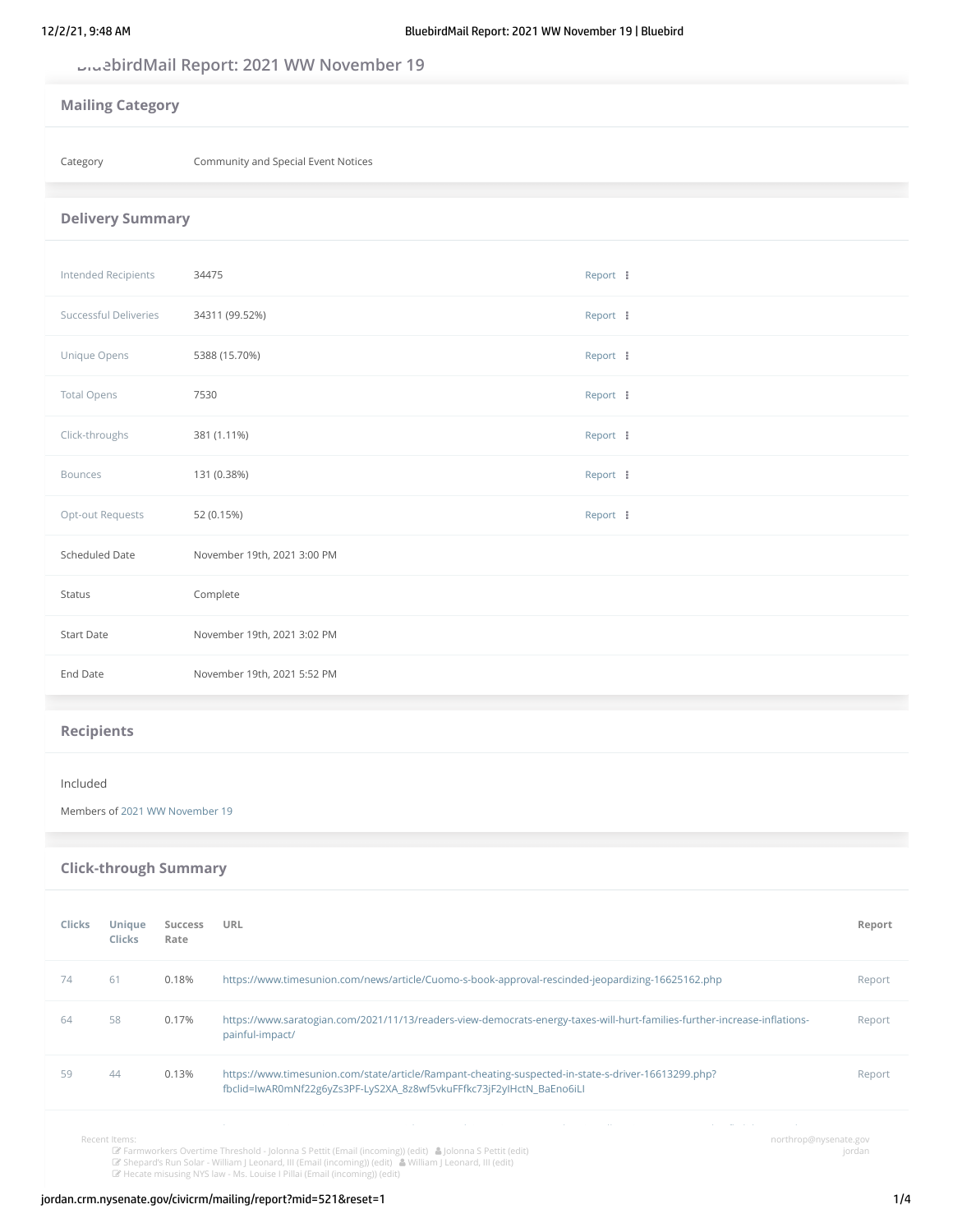## **BluebirdMail Report: 2021 WW November 19**

| <b>Mailing Category</b> |                                     |          |  |
|-------------------------|-------------------------------------|----------|--|
| Category                | Community and Special Event Notices |          |  |
| <b>Delivery Summary</b> |                                     |          |  |
| Intended Recipients     | 34475                               | Report : |  |
| Successful Deliveries   | 34311 (99.52%)                      | Report : |  |
| Unique Opens            | 5388 (15.70%)                       | Report : |  |
| <b>Total Opens</b>      | 7530                                | Report : |  |
| Click-throughs          | 381 (1.11%)                         | Report : |  |
| <b>Bounces</b>          | 131 (0.38%)                         | Report : |  |
| Opt-out Requests        | 52 (0.15%)                          | Report : |  |
| Scheduled Date          | November 19th, 2021 3:00 PM         |          |  |
| <b>Status</b>           | Complete                            |          |  |
| <b>Start Date</b>       | November 19th, 2021 3:02 PM         |          |  |
| End Date                | November 19th, 2021 5:52 PM         |          |  |
| <b>Recipients</b>       |                                     |          |  |

### Included

Members of [2021 WW November 19](http://jordan.crm.nysenate.gov/civicrm/group/search?reset=1&force=1&context=smog&gid=665)

| <b>Click-through Summary</b> |                  |                 |                                                                                                                                                                             |        |
|------------------------------|------------------|-----------------|-----------------------------------------------------------------------------------------------------------------------------------------------------------------------------|--------|
| <b>Clicks</b>                | Unique<br>Clicks | Success<br>Rate | URL                                                                                                                                                                         | Report |
| 74                           | 61               | 0.18%           | https://www.timesunion.com/news/article/Cuomo-s-book-approval-rescinded-jeopardizing-16625162.php                                                                           | Report |
| 64                           | 58               | 0.17%           | https://www.saratogian.com/2021/11/13/readers-view-democrats-energy-taxes-will-hurt-families-further-increase-inflations-<br>painful-impact/                                | Report |
| 59                           | 44               | 0.13%           | https://www.timesunion.com/state/article/Rampant-cheating-suspected-in-state-s-driver-16613299.php?<br>fbclid=IwAR0mNf22g6yZs3PF-LyS2XA 8z8wf5vkuFFfkc73jF2yIHctN BaEno6iLl | Report |
|                              |                  |                 |                                                                                                                                                                             |        |

Recent Items:

ueuns.<br>☞ Farmworkers Overtime Threshold - Jolonna S Pettit (Email (incoming)) [\(edit\)](http://jordan.crm.nysenate.gov/civicrm/activity/add?action=update&reset=1&id=206288&atype=39&cid=537405&context=home) ▲ [Jolonna](http://jordan.crm.nysenate.gov/civicrm/contact/view?reset=1&cid=295869) S Pettit [\(edit](http://jordan.crm.nysenate.gov/civicrm/activity/add?action=update&reset=1&id=206286&atype=39&cid=537405&context=home))<br>☞ Shepard's Run Solar - William J Leonard, III (Email [\(incoming\)\)](http://jordan.crm.nysenate.gov/civicrm/activity?action=view&reset=1&id=206286&atype=39&cid=537405&context=home) (edit) ▲ William J [Leonard,](http://jordan.crm.nysenate.gov/civicrm/contact/view?reset=1&cid=382617) III (edit)<br>☞ He

northrop@nysenate.gov<br>jordan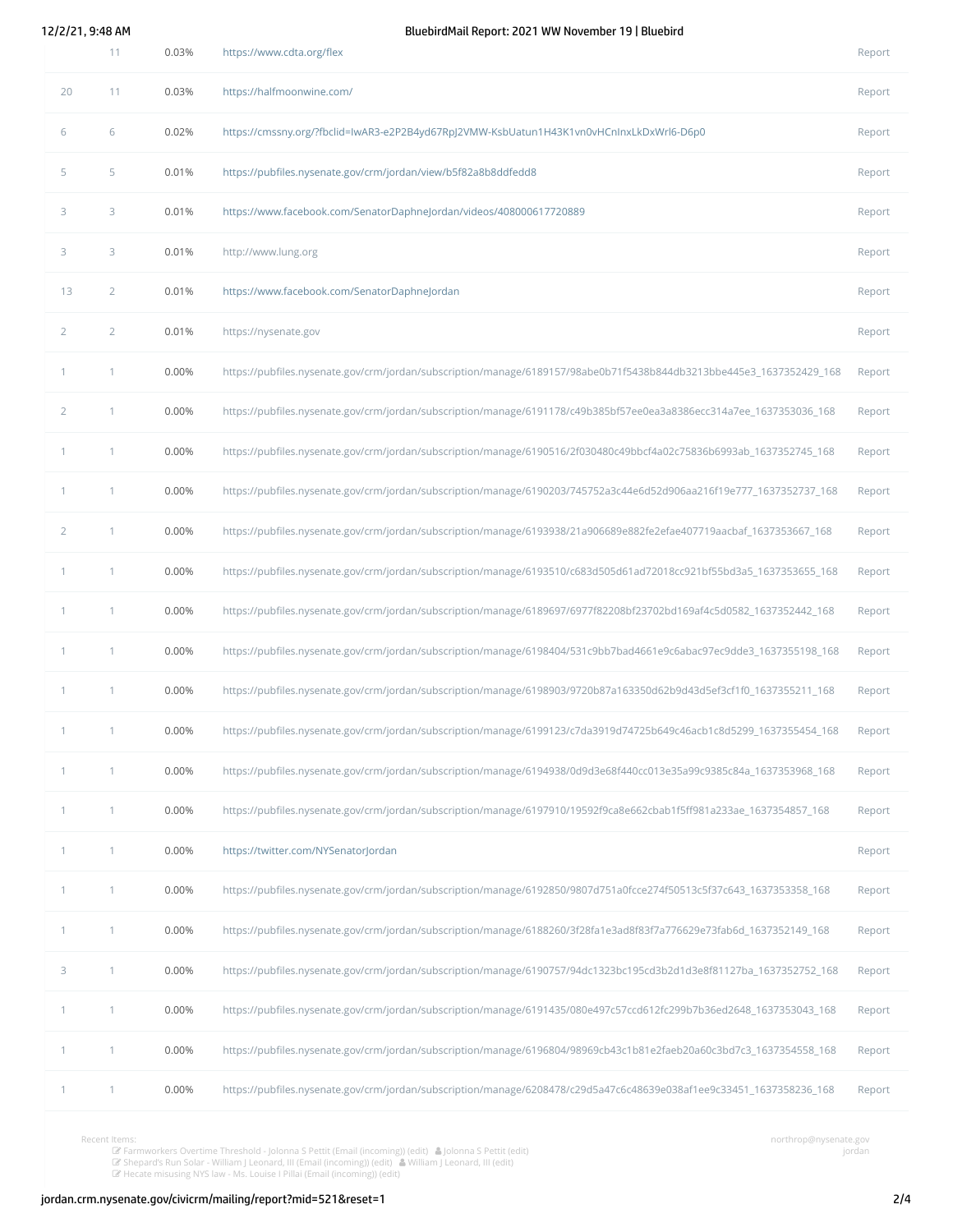12/2/21, 9:48 AM BluebirdMail Report: 2021 WW November 19 | Bluebird

|                | 11             | 0.03% | https://www.cdta.org/flex                                                                                            | Report |
|----------------|----------------|-------|----------------------------------------------------------------------------------------------------------------------|--------|
| 20             | 11             | 0.03% | https://halfmoonwine.com/                                                                                            | Report |
| 6              | 6              | 0.02% | https://cmssny.org/?fbclid=IwAR3-e2P2B4yd67RpJ2VMW-KsbUatun1H43K1vn0vHCnInxLkDxWrl6-D6p0                             | Report |
| 5              | 5              | 0.01% | https://pubfiles.nysenate.gov/crm/jordan/view/b5f82a8b8ddfedd8                                                       | Report |
| 3              | 3              | 0.01% | https://www.facebook.com/SenatorDaphneJordan/videos/408000617720889                                                  | Report |
| 3              | 3              | 0.01% | http://www.lung.org                                                                                                  | Report |
| 13             | $\overline{2}$ | 0.01% | https://www.facebook.com/SenatorDaphneJordan                                                                         | Report |
| $\overline{2}$ | $\overline{2}$ | 0.01% | https://nysenate.gov                                                                                                 | Report |
| $\mathbf{1}$   | 1              | 0.00% | https://pubfiles.nysenate.gov/crm/jordan/subscription/manage/6189157/98abe0b71f5438b844db3213bbe445e3_1637352429_168 | Report |
| $\overline{2}$ | 1              | 0.00% | https://pubfiles.nysenate.gov/crm/jordan/subscription/manage/6191178/c49b385bf57ee0ea3a8386ecc314a7ee_1637353036_168 | Report |
| $\mathbf{1}$   | 1              | 0.00% | https://pubfiles.nysenate.gov/crm/jordan/subscription/manage/6190516/2f030480c49bbcf4a02c75836b6993ab_1637352745_168 | Report |
| $\mathbf{1}$   | 1              | 0.00% | https://pubfiles.nysenate.gov/crm/jordan/subscription/manage/6190203/745752a3c44e6d52d906aa216f19e777_1637352737_168 | Report |
| $\overline{2}$ | 1              | 0.00% | https://pubfiles.nysenate.gov/crm/jordan/subscription/manage/6193938/21a906689e882fe2efae407719aacbaf_1637353667_168 | Report |
| $\mathbf{1}$   | 1              | 0.00% | https://pubfiles.nysenate.gov/crm/jordan/subscription/manage/6193510/c683d505d61ad72018cc921bf55bd3a5_1637353655_168 | Report |
| $\mathbf{1}$   | 1              | 0.00% | https://pubfiles.nysenate.gov/crm/jordan/subscription/manage/6189697/6977f82208bf23702bd169af4c5d0582_1637352442_168 | Report |
| $\mathbf{1}$   | 1              | 0.00% | https://pubfiles.nysenate.gov/crm/jordan/subscription/manage/6198404/531c9bb7bad4661e9c6abac97ec9dde3_1637355198_168 | Report |
| $\mathbf{1}$   | 1              | 0.00% | https://pubfiles.nysenate.gov/crm/jordan/subscription/manage/6198903/9720b87a163350d62b9d43d5ef3cf1f0_1637355211_168 | Report |
| 1              | 1              | 0.00% | https://pubfiles.nysenate.gov/crm/jordan/subscription/manage/6199123/c7da3919d74725b649c46acb1c8d5299_1637355454_168 | Report |
| $\mathbf{1}$   | 1              | 0.00% | https://pubfiles.nysenate.gov/crm/jordan/subscription/manage/6194938/0d9d3e68f440cc013e35a99c9385c84a_1637353968_168 | Report |
| $\mathbf{1}$   | 1              | 0.00% | https://pubfiles.nysenate.gov/crm/jordan/subscription/manage/6197910/19592f9ca8e662cbab1f5ff981a233ae_1637354857_168 | Report |
| $\mathbf{1}$   | 1              | 0.00% | https://twitter.com/NYSenatorJordan                                                                                  | Report |
| 1              | 1              | 0.00% | https://pubfiles.nysenate.gov/crm/jordan/subscription/manage/6192850/9807d751a0fcce274f50513c5f37c643_1637353358_168 | Report |
| 1              | 1              | 0.00% | https://pubfiles.nysenate.gov/crm/jordan/subscription/manage/6188260/3f28fa1e3ad8f83f7a776629e73fab6d_1637352149_168 | Report |
| 3              | 1              | 0.00% | https://pubfiles.nysenate.gov/crm/jordan/subscription/manage/6190757/94dc1323bc195cd3b2d1d3e8f81127ba_1637352752_168 | Report |
| $\mathbf{1}$   | 1              | 0.00% | https://pubfiles.nysenate.gov/crm/jordan/subscription/manage/6191435/080e497c57ccd612fc299b7b36ed2648_1637353043_168 | Report |
| $\mathbf{1}$   | 1              | 0.00% | https://pubfiles.nysenate.gov/crm/jordan/subscription/manage/6196804/98969cb43c1b81e2faeb20a60c3bd7c3_1637354558_168 | Report |
| 1              | 1              | 0.00% | https://pubfiles.nysenate.gov/crm/jordan/subscription/manage/6208478/c29d5a47c6c48639e038af1ee9c33451_1637358236_168 | Report |

Recent Items:<br> *G* [Farmworkers](http://jordan.crm.nysenate.gov/civicrm/activity?action=view&reset=1&id=206288&atype=39&cid=537405&context=home) Overtime Threshold - Jolonna S Pettit (Email (incoming)) [\(edit\)](http://jordan.crm.nysenate.gov/civicrm/activity/add?action=update&reset=1&id=206288&atype=39&cid=537405&context=home) ▲ [Jolonna](http://jordan.crm.nysenate.gov/civicrm/contact/view?reset=1&cid=295869) S Pettit [\(edit](http://jordan.crm.nysenate.gov/civicrm/activity/add?action=update&reset=1&id=206286&atype=39&cid=537405&context=home))<br> *G* Shepard's Run Solar - William J Leonard, III (Email [\(incoming\)\)](http://jordan.crm.nysenate.gov/civicrm/activity?action=view&reset=1&id=206287&atype=39&cid=537405&context=home) (edit) ▲ William J [Leonard,](http://jordan.crm.nysenate.gov/civicrm/contact/view?reset=1&cid=382617)

northrop@nysenate.gov jordan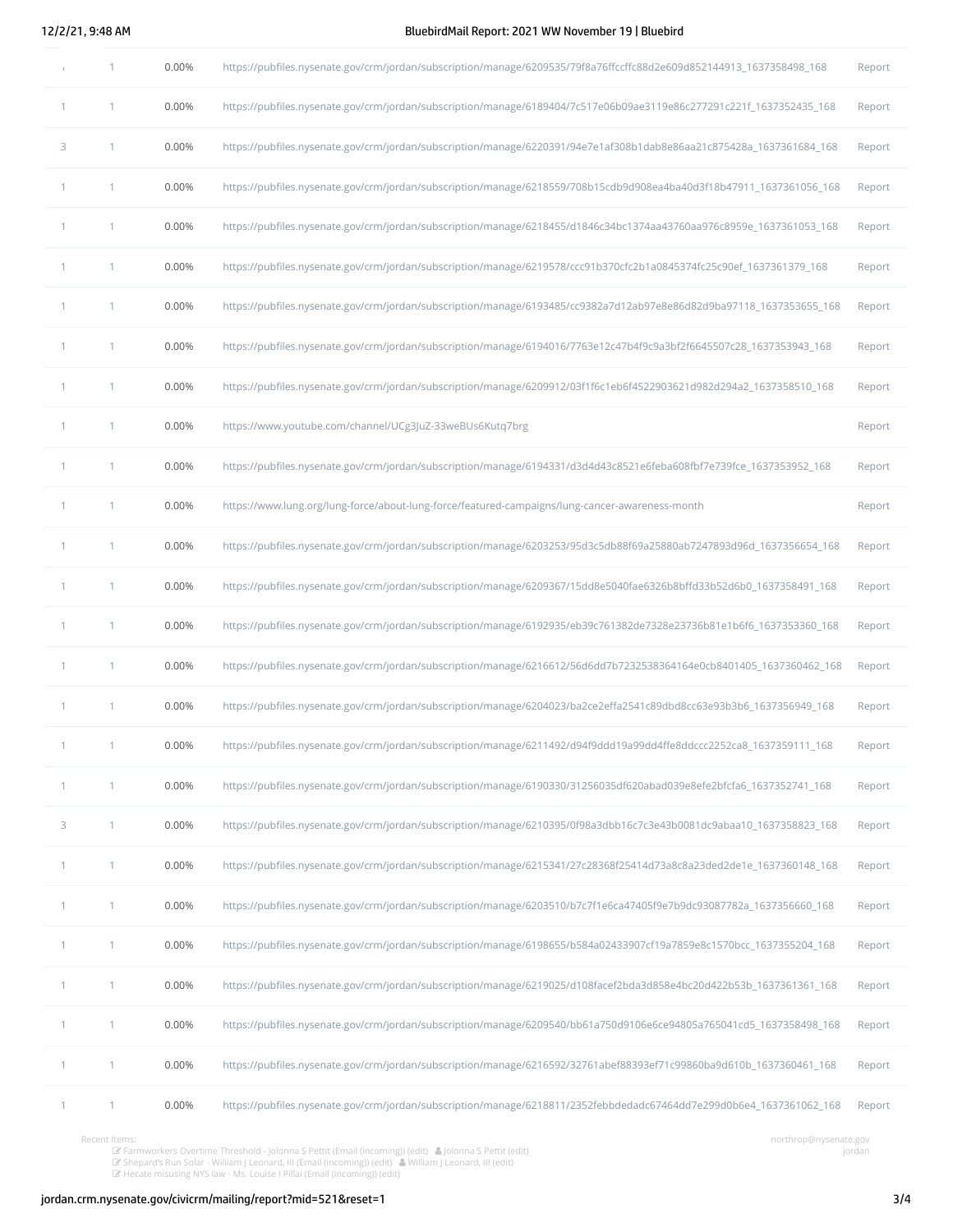12/2/21, 9:48 AM BluebirdMail Report: 2021 WW November 19 | Bluebird

|              | 1 | 0.00% | https://pubfiles.nysenate.gov/crm/jordan/subscription/manage/6209535/79f8a76ffccffc88d2e609d852144913_1637358498_168 | Report |
|--------------|---|-------|----------------------------------------------------------------------------------------------------------------------|--------|
| $\mathbf{1}$ | 1 | 0.00% | https://pubfiles.nysenate.gov/crm/jordan/subscription/manage/6189404/7c517e06b09ae3119e86c277291c221f_1637352435_168 | Report |
| 3            | 1 | 0.00% | https://pubfiles.nysenate.gov/crm/jordan/subscription/manage/6220391/94e7e1af308b1dab8e86aa21c875428a_1637361684_168 | Report |
| 1            | 1 | 0.00% | https://pubfiles.nysenate.gov/crm/jordan/subscription/manage/6218559/708b15cdb9d908ea4ba40d3f18b47911_1637361056_168 | Report |
| 1            | 1 | 0.00% | https://pubfiles.nysenate.gov/crm/jordan/subscription/manage/6218455/d1846c34bc1374aa43760aa976c8959e_1637361053_168 | Report |
| $\mathbf{1}$ | 1 | 0.00% | https://pubfiles.nysenate.gov/crm/jordan/subscription/manage/6219578/ccc91b370cfc2b1a0845374fc25c90ef_1637361379_168 | Report |
| $\mathbf{1}$ | 1 | 0.00% | https://pubfiles.nysenate.gov/crm/jordan/subscription/manage/6193485/cc9382a7d12ab97e8e86d82d9ba97118_1637353655_168 | Report |
| 1            | 1 | 0.00% | https://pubfiles.nysenate.gov/crm/jordan/subscription/manage/6194016/7763e12c47b4f9c9a3bf2f6645507c28_1637353943_168 | Report |
| 1            | 1 | 0.00% | https://pubfiles.nysenate.gov/crm/jordan/subscription/manage/6209912/03f1f6c1eb6f4522903621d982d294a2_1637358510_168 | Report |
| 1            | 1 | 0.00% | https://www.youtube.com/channel/UCg3JuZ-33weBUs6Kutq7brg                                                             | Report |
| $\mathbf{1}$ | 1 | 0.00% | https://pubfiles.nysenate.gov/crm/jordan/subscription/manage/6194331/d3d4d43c8521e6feba608fbf7e739fce_1637353952_168 | Report |
| 1            | 1 | 0.00% | https://www.lung.org/lung-force/about-lung-force/featured-campaigns/lung-cancer-awareness-month                      | Report |
| $\mathbf{1}$ | 1 | 0.00% | https://pubfiles.nysenate.gov/crm/jordan/subscription/manage/6203253/95d3c5db88f69a25880ab7247893d96d_1637356654_168 | Report |
| $\mathbf{1}$ | 1 | 0.00% | https://pubfiles.nysenate.gov/crm/jordan/subscription/manage/6209367/15dd8e5040fae6326b8bffd33b52d6b0_1637358491_168 | Report |
| 1            | 1 | 0.00% | https://pubfiles.nysenate.gov/crm/jordan/subscription/manage/6192935/eb39c761382de7328e23736b81e1b6f6_1637353360_168 | Report |
| 1            | 1 | 0.00% | https://pubfiles.nysenate.gov/crm/jordan/subscription/manage/6216612/56d6dd7b7232538364164e0cb8401405_1637360462_168 | Report |
| 1            | 1 | 0.00% | https://pubfiles.nysenate.gov/crm/jordan/subscription/manage/6204023/ba2ce2effa2541c89dbd8cc63e93b3b6_1637356949_168 | Report |
| 1            | 1 | 0.00% | https://pubfiles.nysenate.gov/crm/jordan/subscription/manage/6211492/d94f9ddd19a99dd4ffe8ddccc2252ca8_1637359111_168 | Report |
| 1            | 1 | 0.00% | https://pubfiles.nysenate.gov/crm/jordan/subscription/manage/6190330/31256035df620abad039e8efe2bfcfa6_1637352741_168 | Report |
| 3            | 1 | 0.00% | https://pubfiles.nysenate.gov/crm/jordan/subscription/manage/6210395/0f98a3dbb16c7c3e43b0081dc9abaa10_1637358823_168 | Report |
| 1            | 1 | 0.00% | https://pubfiles.nysenate.gov/crm/jordan/subscription/manage/6215341/27c28368f25414d73a8c8a23ded2de1e_1637360148_168 | Report |
| 1            | 1 | 0.00% | https://pubfiles.nysenate.gov/crm/jordan/subscription/manage/6203510/b7c7f1e6ca47405f9e7b9dc93087782a_1637356660_168 | Report |
| 1            | 1 | 0.00% | https://pubfiles.nysenate.gov/crm/jordan/subscription/manage/6198655/b584a02433907cf19a7859e8c1570bcc_1637355204_168 | Report |
| $\mathbf{1}$ | 1 | 0.00% | https://pubfiles.nysenate.gov/crm/jordan/subscription/manage/6219025/d108facef2bda3d858e4bc20d422b53b_1637361361_168 | Report |
| $\mathbf{1}$ | 1 | 0.00% | https://pubfiles.nysenate.gov/crm/jordan/subscription/manage/6209540/bb61a750d9106e6ce94805a765041cd5_1637358498_168 | Report |
| 1            | 1 | 0.00% | https://pubfiles.nysenate.gov/crm/jordan/subscription/manage/6216592/32761abef88393ef71c99860ba9d610b_1637360461_168 | Report |
| 1            | 1 | 0.00% | https://pubfiles.nysenate.gov/crm/jordan/subscription/manage/6218811/2352febbdedadc67464dd7e299d0b6e4_1637361062_168 | Report |
|              |   |       |                                                                                                                      |        |

northrop@nysenate.gov jordan

[1](http://jordan.crm.nysenate.gov/civicrm/mailing/report/event?reset=1&event=click&mid=521&uid=14278&distinct=1) 0.00% [https://pubfiles.nysenate.gov/crm/jordan/subscription/manage/6220781/4c4b012f6b7cb96da0dff86dee9df311\\_1637361695\\_168](https://pubfiles.nysenate.gov/crm/jordan/subscription/manage/6220781/4c4b012f6b7cb96da0dff86dee9df311_1637361695_168) [Report](http://jordan.crm.nysenate.gov/civicrm/report/instance/30?reset=1&mailing_id_value=521&url_value=https://pubfiles.nysenate.gov/crm/jordan/subscription/manage/6220781/4c4b012f6b7cb96da0dff86dee9df311_1637361695_168) Recent Items: Farmworkers Overtime Threshold - Jolonna <sup>S</sup> Pettit (Email (incoming)) [\(edit\)](http://jordan.crm.nysenate.gov/civicrm/activity/add?action=update&reset=1&id=206288&atype=39&cid=537405&context=home) Jolonna <sup>S</sup> Pettit [\(edit](http://jordan.crm.nysenate.gov/civicrm/contact/add?reset=1&action=update&cid=295869)) Shepard's Run Solar - William J Leonard, III (Email [\(incoming\)\)](http://jordan.crm.nysenate.gov/civicrm/activity?action=view&reset=1&id=206287&atype=39&cid=537405&context=home) [\(edit](http://jordan.crm.nysenate.gov/civicrm/activity/add?action=update&reset=1&id=206287&atype=39&cid=537405&context=home)) William J [Leonard,](http://jordan.crm.nysenate.gov/civicrm/contact/view?reset=1&cid=382617) III [\(edit](http://jordan.crm.nysenate.gov/civicrm/contact/add?reset=1&action=update&cid=382617)) Hecate misusing NYS law - Ms. Louise I Pillai (Email [\(incoming\)\)](http://jordan.crm.nysenate.gov/civicrm/activity?action=view&reset=1&id=206286&atype=39&cid=537405&context=home) [\(edit](http://jordan.crm.nysenate.gov/civicrm/activity/add?action=update&reset=1&id=206286&atype=39&cid=537405&context=home))